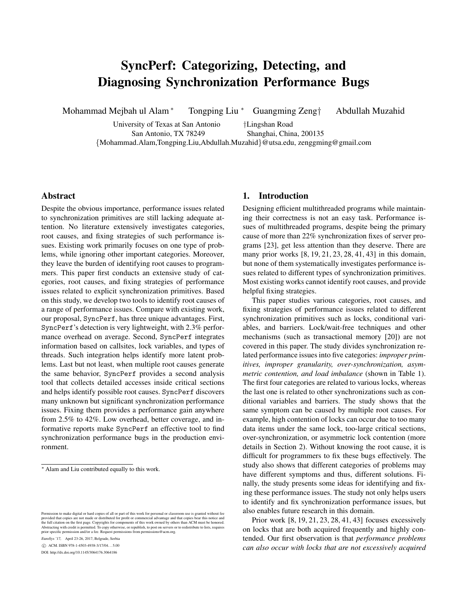# SyncPerf: Categorizing, Detecting, and Diagnosing Synchronization Performance Bugs

Mohammad Mejbah ul Alam ⇤ Tongping Liu ⇤ Guangming Zeng*†* Abdullah Muzahid

University of Texas at San Antonio *†*Lingshan Road Shanghai, China, 200135 *{*Mohammad.Alam,Tongping.Liu,Abdullah.Muzahid*}*@utsa.edu, zenggming@gmail.com

## Abstract

Despite the obvious importance, performance issues related to synchronization primitives are still lacking adequate attention. No literature extensively investigates categories, root causes, and fixing strategies of such performance issues. Existing work primarily focuses on one type of problems, while ignoring other important categories. Moreover, they leave the burden of identifying root causes to programmers. This paper first conducts an extensive study of categories, root causes, and fixing strategies of performance issues related to explicit synchronization primitives. Based on this study, we develop two tools to identify root causes of a range of performance issues. Compare with existing work, our proposal, SyncPerf, has three unique advantages. First, SyncPerf's detection is very lightweight, with 2.3% performance overhead on average. Second, SyncPerf integrates information based on callsites, lock variables, and types of threads. Such integration helps identify more latent problems. Last but not least, when multiple root causes generate the same behavior, SyncPerf provides a second analysis tool that collects detailed accesses inside critical sections and helps identify possible root causes. SyncPerf discovers many unknown but significant synchronization performance issues. Fixing them provides a performance gain anywhere from 2.5% to 42%. Low overhead, better coverage, and informative reports make SyncPerf an effective tool to find synchronization performance bugs in the production environment.

*EuroSys '17,* April 23-26, 2017, Belgrade, Serbia

c ACM. ISBN 978-1-4503-4938-3/17/04. . . 5.00

DOI: http://dx.doi.org/10.1145/3064176.3064186

## 1. Introduction

Designing efficient multithreaded programs while maintaining their correctness is not an easy task. Performance issues of multithreaded programs, despite being the primary cause of more than 22% synchronization fixes of server programs [23], get less attention than they deserve. There are many prior works [8, 19, 21, 23, 28, 41, 43] in this domain, but none of them systematically investigates performance issues related to different types of synchronization primitives. Most existing works cannot identify root causes, and provide helpful fixing strategies.

This paper studies various categories, root causes, and fixing strategies of performance issues related to different synchronization primitives such as locks, conditional variables, and barriers. Lock/wait-free techniques and other mechanisms (such as transactional memory [20]) are not covered in this paper. The study divides synchronization related performance issues into five categories: *improper primitives, improper granularity, over-synchronization, asymmetric contention, and load imbalance* (shown in Table 1). The first four categories are related to various locks, whereas the last one is related to other synchronizations such as conditional variables and barriers. The study shows that the same symptom can be caused by multiple root causes. For example, high contention of locks can occur due to too many data items under the same lock, too-large critical sections, over-synchronization, or asymmetric lock contention (more details in Section 2). Without knowing the root cause, it is difficult for programmers to fix these bugs effectively. The study also shows that different categories of problems may have different symptoms and thus, different solutions. Finally, the study presents some ideas for identifying and fixing these performance issues. The study not only helps users to identify and fix synchronization performance issues, but also enables future research in this domain.

Prior work [8, 19, 21, 23, 28, 41, 43] focuses excessively on locks that are both acquired frequently and highly contended. Our first observation is that *performance problems can also occur with locks that are not excessively acquired*

<sup>⇤</sup> Alam and Liu contributed equally to this work.

Permission to make digital or hard copies of all or part of this work for personal or classroom use is granted without fee provided that copies are not made or distributed for profit or commercial advantage and that copies bear this notice and<br>the full citation on the first page. Copyrights for components of this work owned by others than ACM Abstracting with credit is permitted. To copy otherwise, or republish, to post on servers or to redistribute to lists, requires prior specific permission and/or a fee. Request permissions from permissions@acm.org.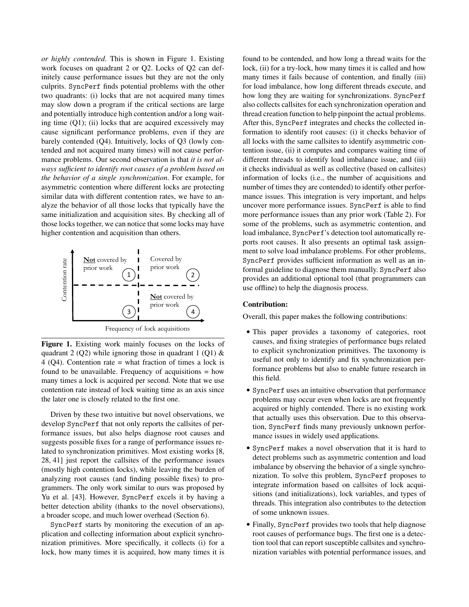*or highly contended*. This is shown in Figure 1. Existing work focuses on quadrant 2 or Q2. Locks of Q2 can definitely cause performance issues but they are not the only culprits. SyncPerf finds potential problems with the other two quadrants: (i) locks that are not acquired many times may slow down a program if the critical sections are large and potentially introduce high contention and/or a long waiting time  $(Q1)$ ; (ii) locks that are acquired excessively may cause significant performance problems, even if they are barely contended (Q4). Intuitively, locks of Q3 (lowly contended and not acquired many times) will not cause performance problems. Our second observation is that *it is not always sufficient to identify root causes of a problem based on the behavior of a single synchronization*. For example, for asymmetric contention where different locks are protecting similar data with different contention rates, we have to analyze the behavior of all those locks that typically have the same initialization and acquisition sites. By checking all of those locks together, we can notice that some locks may have higher contention and acquisition than others.



Figure 1. Existing work mainly focuses on the locks of quadrant 2 (Q2) while ignoring those in quadrant 1 (Q1)  $\&$ 4 (Q4). Contention rate = what fraction of times a lock is found to be unavailable. Frequency of acquisitions = how many times a lock is acquired per second. Note that we use contention rate instead of lock waiting time as an axis since the later one is closely related to the first one.

Driven by these two intuitive but novel observations, we develop SyncPerf that not only reports the callsites of performance issues, but also helps diagnose root causes and suggests possible fixes for a range of performance issues related to synchronization primitives. Most existing works [8, 28, 41] just report the callsites of the performance issues (mostly high contention locks), while leaving the burden of analyzing root causes (and finding possible fixes) to programmers. The only work similar to ours was proposed by Yu et al. [43]. However, SyncPerf excels it by having a better detection ability (thanks to the novel observations), a broader scope, and much lower overhead (Section 6).

SyncPerf starts by monitoring the execution of an application and collecting information about explicit synchronization primitives. More specifically, it collects (i) for a lock, how many times it is acquired, how many times it is found to be contended, and how long a thread waits for the lock, (ii) for a try-lock, how many times it is called and how many times it fails because of contention, and finally (iii) for load imbalance, how long different threads execute, and how long they are waiting for synchronizations. SyncPerf also collects callsites for each synchronization operation and thread creation function to help pinpoint the actual problems. After this, SyncPerf integrates and checks the collected information to identify root causes: (i) it checks behavior of all locks with the same callsites to identify asymmetric contention issue, (ii) it computes and compares waiting time of different threads to identify load imbalance issue, and (iii) it checks individual as well as collective (based on callsites) information of locks (i.e., the number of acquisitions and number of times they are contended) to identify other performance issues. This integration is very important, and helps uncover more performance issues. SyncPerf is able to find more performance issues than any prior work (Table 2). For some of the problems, such as asymmetric contention, and load imbalance, SyncPerf's detection tool automatically reports root causes. It also presents an optimal task assignment to solve load imbalance problems. For other problems, SyncPerf provides sufficient information as well as an informal guideline to diagnose them manually. SyncPerf also provides an additional optional tool (that programmers can use offline) to help the diagnosis process.

## Contribution:

Overall, this paper makes the following contributions:

- *•* This paper provides a taxonomy of categories, root causes, and fixing strategies of performance bugs related to explicit synchronization primitives. The taxonomy is useful not only to identify and fix synchronization performance problems but also to enable future research in this field.
- *•* SyncPerf uses an intuitive observation that performance problems may occur even when locks are not frequently acquired or highly contended. There is no existing work that actually uses this observation. Due to this observation, SyncPerf finds many previously unknown performance issues in widely used applications.
- *•* SyncPerf makes a novel observation that it is hard to detect problems such as asymmetric contention and load imbalance by observing the behavior of a single synchronization. To solve this problem, SyncPerf proposes to integrate information based on callsites of lock acquisitions (and initializations), lock variables, and types of threads. This integration also contributes to the detection of some unknown issues.
- *•* Finally, SyncPerf provides two tools that help diagnose root causes of performance bugs. The first one is a detection tool that can report susceptible callsites and synchronization variables with potential performance issues, and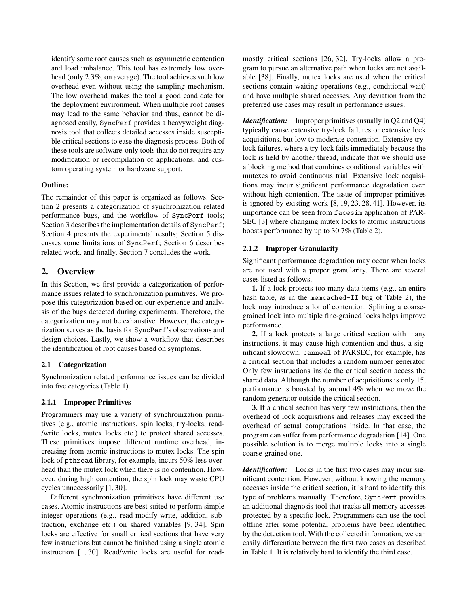identify some root causes such as asymmetric contention and load imbalance. This tool has extremely low overhead (only 2.3%, on average). The tool achieves such low overhead even without using the sampling mechanism. The low overhead makes the tool a good candidate for the deployment environment. When multiple root causes may lead to the same behavior and thus, cannot be diagnosed easily, SyncPerf provides a heavyweight diagnosis tool that collects detailed accesses inside susceptible critical sections to ease the diagnosis process. Both of these tools are software-only tools that do not require any modification or recompilation of applications, and custom operating system or hardware support.

## Outline:

The remainder of this paper is organized as follows. Section 2 presents a categorization of synchronization related performance bugs, and the workflow of SyncPerf tools; Section 3 describes the implementation details of SyncPerf; Section 4 presents the experimental results; Section 5 discusses some limitations of SyncPerf; Section 6 describes related work, and finally, Section 7 concludes the work.

# 2. Overview

In this Section, we first provide a categorization of performance issues related to synchronization primitives. We propose this categorization based on our experience and analysis of the bugs detected during experiments. Therefore, the categorization may not be exhaustive. However, the categorization serves as the basis for SyncPerf's observations and design choices. Lastly, we show a workflow that describes the identification of root causes based on symptoms.

## 2.1 Categorization

Synchronization related performance issues can be divided into five categories (Table 1).

## 2.1.1 Improper Primitives

Programmers may use a variety of synchronization primitives (e.g., atomic instructions, spin locks, try-locks, read- /write locks, mutex locks etc.) to protect shared accesses. These primitives impose different runtime overhead, increasing from atomic instructions to mutex locks. The spin lock of pthread library, for example, incurs 50% less overhead than the mutex lock when there is no contention. However, during high contention, the spin lock may waste CPU cycles unnecessarily [1, 30].

Different synchronization primitives have different use cases. Atomic instructions are best suited to perform simple integer operations (e.g., read-modify-write, addition, subtraction, exchange etc.) on shared variables [9, 34]. Spin locks are effective for small critical sections that have very few instructions but cannot be finished using a single atomic instruction [1, 30]. Read/write locks are useful for readmostly critical sections [26, 32]. Try-locks allow a program to pursue an alternative path when locks are not available [38]. Finally, mutex locks are used when the critical sections contain waiting operations (e.g., conditional wait) and have multiple shared accesses. Any deviation from the preferred use cases may result in performance issues.

*Identification:* Improper primitives (usually in Q2 and Q4) typically cause extensive try-lock failures or extensive lock acquisitions, but low to moderate contention. Extensive trylock failures, where a try-lock fails immediately because the lock is held by another thread, indicate that we should use a blocking method that combines conditional variables with mutexes to avoid continuous trial. Extensive lock acquisitions may incur significant performance degradation even without high contention. The issue of improper primitives is ignored by existing work [8, 19, 23, 28, 41]. However, its importance can be seen from facesim application of PAR-SEC [3] where changing mutex locks to atomic instructions boosts performance by up to 30.7% (Table 2).

#### 2.1.2 Improper Granularity

Significant performance degradation may occur when locks are not used with a proper granularity. There are several cases listed as follows.

1. If a lock protects too many data items (e.g., an entire hash table, as in the memcached-II bug of Table 2), the lock may introduce a lot of contention. Splitting a coarsegrained lock into multiple fine-grained locks helps improve performance.

2. If a lock protects a large critical section with many instructions, it may cause high contention and thus, a significant slowdown. canneal of PARSEC, for example, has a critical section that includes a random number generator. Only few instructions inside the critical section access the shared data. Although the number of acquisitions is only 15, performance is boosted by around 4% when we move the random generator outside the critical section.

3. If a critical section has very few instructions, then the overhead of lock acquisitions and releases may exceed the overhead of actual computations inside. In that case, the program can suffer from performance degradation [14]. One possible solution is to merge multiple locks into a single coarse-grained one.

*Identification:* Locks in the first two cases may incur significant contention. However, without knowing the memory accesses inside the critical section, it is hard to identify this type of problems manually. Therefore, SyncPerf provides an additional diagnosis tool that tracks all memory accesses protected by a specific lock. Programmers can use the tool offline after some potential problems have been identified by the detection tool. With the collected information, we can easily differentiate between the first two cases as described in Table 1. It is relatively hard to identify the third case.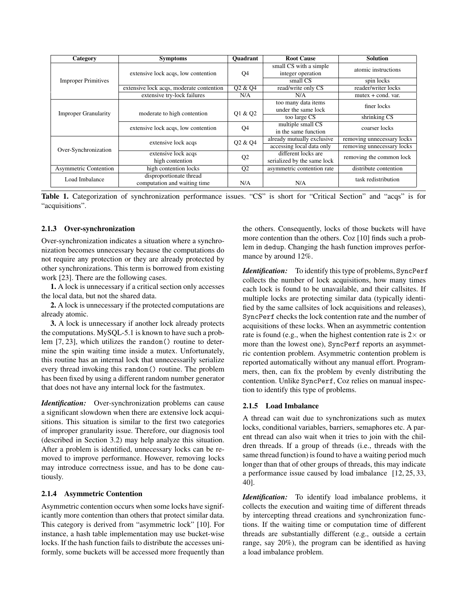| Category                                                                                                          | <b>Symptoms</b>                          | <b>Ouadrant</b>                 | <b>Root Cause</b>                                                                                                    | <b>Solution</b>            |  |
|-------------------------------------------------------------------------------------------------------------------|------------------------------------------|---------------------------------|----------------------------------------------------------------------------------------------------------------------|----------------------------|--|
|                                                                                                                   |                                          | Q <sub>4</sub>                  | small CS with a simple                                                                                               | atomic instructions        |  |
| <b>Improper Primitives</b><br><b>Improper Granularity</b><br>Over-Synchronization<br><b>Asymmetric Contention</b> | extensive lock acqs, low contention      |                                 | integer operation                                                                                                    |                            |  |
|                                                                                                                   |                                          |                                 | small CS                                                                                                             | spin locks                 |  |
|                                                                                                                   | extensive lock acqs, moderate contention | O <sub>2</sub> & O <sub>4</sub> | read/write only CS                                                                                                   | reader/writer locks        |  |
|                                                                                                                   | extensive try-lock failures              | N/A                             | N/A                                                                                                                  | $mutes + cond. var.$       |  |
|                                                                                                                   |                                          |                                 | too many data items                                                                                                  | finer locks                |  |
|                                                                                                                   | moderate to high contention              | O1 & O2                         | under the same lock                                                                                                  |                            |  |
|                                                                                                                   |                                          |                                 | too large CS                                                                                                         | shrinking CS               |  |
|                                                                                                                   | extensive lock acqs, low contention      | Q <sub>4</sub>                  | multiple small CS                                                                                                    | coarser locks              |  |
|                                                                                                                   |                                          |                                 | in the same function                                                                                                 |                            |  |
|                                                                                                                   | extensive lock acqs                      | Q2 & Q4                         | already mutually exclusive                                                                                           | removing unnecessary locks |  |
|                                                                                                                   |                                          |                                 | accessing local data only<br>different locks are<br>serialized by the same lock<br>asymmetric contention rate<br>N/A | removing unnecessary locks |  |
|                                                                                                                   | extensive lock acqs                      | Q <sub>2</sub>                  |                                                                                                                      | removing the common lock   |  |
|                                                                                                                   | high contention                          |                                 |                                                                                                                      |                            |  |
|                                                                                                                   | high contention locks                    | Q <sub>2</sub>                  |                                                                                                                      | distribute contention      |  |
| Load Imbalance                                                                                                    | disproportionate thread                  |                                 |                                                                                                                      | task redistribution        |  |
|                                                                                                                   | computation and waiting time             | N/A                             |                                                                                                                      |                            |  |

Table 1. Categorization of synchronization performance issues. "CS" is short for "Critical Section" and "acqs" is for "acquisitions".

## 2.1.3 Over-synchronization

Over-synchronization indicates a situation where a synchronization becomes unnecessary because the computations do not require any protection or they are already protected by other synchronizations. This term is borrowed from existing work [23]. There are the following cases.

1. A lock is unnecessary if a critical section only accesses the local data, but not the shared data.

2. A lock is unnecessary if the protected computations are already atomic.

3. A lock is unnecessary if another lock already protects the computations. MySQL-5.1 is known to have such a problem [7, 23], which utilizes the random() routine to determine the spin waiting time inside a mutex. Unfortunately, this routine has an internal lock that unnecessarily serialize every thread invoking this random() routine. The problem has been fixed by using a different random number generator that does not have any internal lock for the fastmutex.

*Identification:* Over-synchronization problems can cause a significant slowdown when there are extensive lock acquisitions. This situation is similar to the first two categories of improper granularity issue. Therefore, our diagnosis tool (described in Section 3.2) may help analyze this situation. After a problem is identified, unnecessary locks can be removed to improve performance. However, removing locks may introduce correctness issue, and has to be done cautiously.

## 2.1.4 Asymmetric Contention

Asymmetric contention occurs when some locks have significantly more contention than others that protect similar data. This category is derived from "asymmetric lock" [10]. For instance, a hash table implementation may use bucket-wise locks. If the hash function fails to distribute the accesses uniformly, some buckets will be accessed more frequently than

the others. Consequently, locks of those buckets will have more contention than the others. Coz [10] finds such a problem in dedup. Changing the hash function improves performance by around 12%.

*Identification:* To identify this type of problems, SyncPerf collects the number of lock acquisitions, how many times each lock is found to be unavailable, and their callsites. If multiple locks are protecting similar data (typically identified by the same callsites of lock acquisitions and releases), SyncPerf checks the lock contention rate and the number of acquisitions of these locks. When an asymmetric contention rate is found (e.g., when the highest contention rate is  $2 \times$  or more than the lowest one), SyncPerf reports an asymmetric contention problem. Asymmetric contention problem is reported automatically without any manual effort. Programmers, then, can fix the problem by evenly distributing the contention. Unlike SyncPerf, Coz relies on manual inspection to identify this type of problems.

#### 2.1.5 Load Imbalance

A thread can wait due to synchronizations such as mutex locks, conditional variables, barriers, semaphores etc. A parent thread can also wait when it tries to join with the children threads. If a group of threads (i.e., threads with the same thread function) is found to have a waiting period much longer than that of other groups of threads, this may indicate a performance issue caused by load imbalance [12, 25, 33, 40].

*Identification:* To identify load imbalance problems, it collects the execution and waiting time of different threads by intercepting thread creations and synchronization functions. If the waiting time or computation time of different threads are substantially different (e.g., outside a certain range, say 20%), the program can be identified as having a load imbalance problem.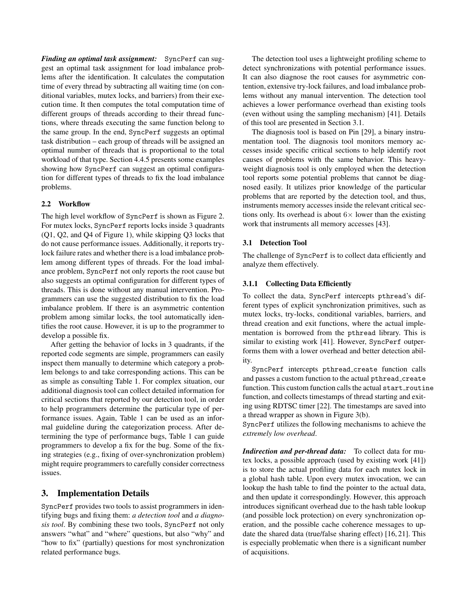*Finding an optimal task assignment:* SyncPerf can suggest an optimal task assignment for load imbalance problems after the identification. It calculates the computation time of every thread by subtracting all waiting time (on conditional variables, mutex locks, and barriers) from their execution time. It then computes the total computation time of different groups of threads according to their thread functions, where threads executing the same function belong to the same group. In the end, SyncPerf suggests an optimal task distribution – each group of threads will be assigned an optimal number of threads that is proportional to the total workload of that type. Section 4.4.5 presents some examples showing how SyncPerf can suggest an optimal configuration for different types of threads to fix the load imbalance problems.

# 2.2 Workflow

The high level workflow of SyncPerf is shown as Figure 2. For mutex locks, SyncPerf reports locks inside 3 quadrants (Q1, Q2, and Q4 of Figure 1), while skipping Q3 locks that do not cause performance issues. Additionally, it reports trylock failure rates and whether there is a load imbalance problem among different types of threads. For the load imbalance problem, SyncPerf not only reports the root cause but also suggests an optimal configuration for different types of threads. This is done without any manual intervention. Programmers can use the suggested distribution to fix the load imbalance problem. If there is an asymmetric contention problem among similar locks, the tool automatically identifies the root cause. However, it is up to the programmer to develop a possible fix.

After getting the behavior of locks in 3 quadrants, if the reported code segments are simple, programmers can easily inspect them manually to determine which category a problem belongs to and take corresponding actions. This can be as simple as consulting Table 1. For complex situation, our additional diagnosis tool can collect detailed information for critical sections that reported by our detection tool, in order to help programmers determine the particular type of performance issues. Again, Table 1 can be used as an informal guideline during the categorization process. After determining the type of performance bugs, Table 1 can guide programmers to develop a fix for the bug. Some of the fixing strategies (e.g., fixing of over-synchronization problem) might require programmers to carefully consider correctness issues.

# 3. Implementation Details

SyncPerf provides two tools to assist programmers in identifying bugs and fixing them: *a detection tool* and *a diagnosis tool*. By combining these two tools, SyncPerf not only answers "what" and "where" questions, but also "why" and "how to fix" (partially) questions for most synchronization related performance bugs.

The detection tool uses a lightweight profiling scheme to detect synchronizations with potential performance issues. It can also diagnose the root causes for asymmetric contention, extensive try-lock failures, and load imbalance problems without any manual intervention. The detection tool achieves a lower performance overhead than existing tools (even without using the sampling mechanism) [41]. Details of this tool are presented in Section 3.1.

The diagnosis tool is based on Pin [29], a binary instrumentation tool. The diagnosis tool monitors memory accesses inside specific critical sections to help identify root causes of problems with the same behavior. This heavyweight diagnosis tool is only employed when the detection tool reports some potential problems that cannot be diagnosed easily. It utilizes prior knowledge of the particular problems that are reported by the detection tool, and thus, instruments memory accesses inside the relevant critical sections only. Its overhead is about  $6 \times$  lower than the existing work that instruments all memory accesses [43].

# 3.1 Detection Tool

The challenge of SyncPerf is to collect data efficiently and analyze them effectively.

# 3.1.1 Collecting Data Efficiently

To collect the data, SyncPerf intercepts pthread's different types of explicit synchronization primitives, such as mutex locks, try-locks, conditional variables, barriers, and thread creation and exit functions, where the actual implementation is borrowed from the pthread library. This is similar to existing work [41]. However, SyncPerf outperforms them with a lower overhead and better detection ability.

SyncPerf intercepts pthread create function calls and passes a custom function to the actual pthread create function. This custom function calls the actual start\_routine function, and collects timestamps of thread starting and exiting using RDTSC timer [22]. The timestamps are saved into a thread wrapper as shown in Figure 3(b).

SyncPerf utilizes the following mechanisms to achieve the *extremely low overhead*.

*Indirection and per-thread data:* To collect data for mutex locks, a possible approach (used by existing work [41]) is to store the actual profiling data for each mutex lock in a global hash table. Upon every mutex invocation, we can lookup the hash table to find the pointer to the actual data, and then update it correspondingly. However, this approach introduces significant overhead due to the hash table lookup (and possible lock protection) on every synchronization operation, and the possible cache coherence messages to update the shared data (true/false sharing effect) [16, 21]. This is especially problematic when there is a significant number of acquisitions.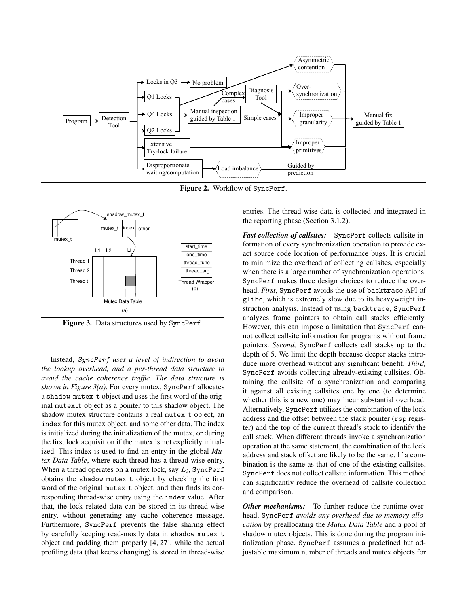

Figure 2. Workflow of SyncPerf.



Figure 3. Data structures used by SyncPerf.

Instead, *SyncPerf uses a level of indirection to avoid the lookup overhead, and a per-thread data structure to avoid the cache coherence traffic. The data structure is shown in Figure 3(a)*. For every mutex, SyncPerf allocates a shadow\_mutex\_t object and uses the first word of the original mutex\_t object as a pointer to this shadow object. The shadow mutex structure contains a real mutex\_t object, an index for this mutex object, and some other data. The index is initialized during the initialization of the mutex, or during the first lock acquisition if the mutex is not explicitly initialized. This index is used to find an entry in the global *Mutex Data Table*, where each thread has a thread-wise entry. When a thread operates on a mutex lock, say *Li*, SyncPerf obtains the shadow\_mutex\_t object by checking the first word of the original mutex\_t object, and then finds its corresponding thread-wise entry using the index value. After that, the lock related data can be stored in its thread-wise entry, without generating any cache coherence message. Furthermore, SyncPerf prevents the false sharing effect by carefully keeping read-mostly data in shadow mutex t object and padding them properly [4, 27], while the actual profiling data (that keeps changing) is stored in thread-wise

entries. The thread-wise data is collected and integrated in the reporting phase (Section 3.1.2).

*Fast collection of callsites:* SyncPerf collects callsite information of every synchronization operation to provide exact source code location of performance bugs. It is crucial to minimize the overhead of collecting callsites, especially when there is a large number of synchronization operations. SyncPerf makes three design choices to reduce the overhead. *First*, SyncPerf avoids the use of backtrace API of glibc, which is extremely slow due to its heavyweight instruction analysis. Instead of using backtrace, SyncPerf analyzes frame pointers to obtain call stacks efficiently. However, this can impose a limitation that SyncPerf cannot collect callsite information for programs without frame pointers. *Second,* SyncPerf collects call stacks up to the depth of 5. We limit the depth because deeper stacks introduce more overhead without any significant benefit. *Third,* SyncPerf avoids collecting already-existing callsites. Obtaining the callsite of a synchronization and comparing it against all existing callsites one by one (to determine whether this is a new one) may incur substantial overhead. Alternatively, SyncPerf utilizes the combination of the lock address and the offset between the stack pointer (rsp register) and the top of the current thread's stack to identify the call stack. When different threads invoke a synchronization operation at the same statement, the combination of the lock address and stack offset are likely to be the same. If a combination is the same as that of one of the existing callsites, SyncPerf does not collect callsite information. This method can significantly reduce the overhead of callsite collection and comparison.

*Other mechanisms:* To further reduce the runtime overhead, SyncPerf *avoids any overhead due to memory allocation* by preallocating the *Mutex Data Table* and a pool of shadow mutex objects. This is done during the program initialization phase. SyncPerf assumes a predefined but adjustable maximum number of threads and mutex objects for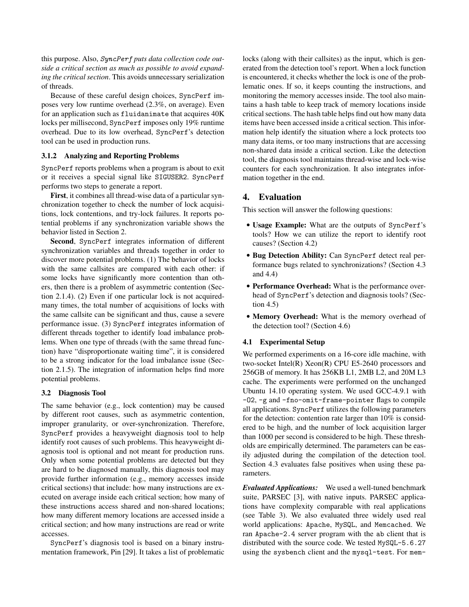this purpose. Also, *SyncPerf puts data collection code outside a critical section as much as possible to avoid expanding the critical section*. This avoids unnecessary serialization of threads.

Because of these careful design choices, SyncPerf imposes very low runtime overhead (2.3%, on average). Even for an application such as fluidanimate that acquires 40K locks per millisecond, SyncPerf imposes only 19% runtime overhead. Due to its low overhead, SyncPerf's detection tool can be used in production runs.

## 3.1.2 Analyzing and Reporting Problems

SyncPerf reports problems when a program is about to exit or it receives a special signal like SIGUSER2. SyncPerf performs two steps to generate a report.

First, it combines all thread-wise data of a particular synchronization together to check the number of lock acquisitions, lock contentions, and try-lock failures. It reports potential problems if any synchronization variable shows the behavior listed in Section 2.

Second, SyncPerf integrates information of different synchronization variables and threads together in order to discover more potential problems. (1) The behavior of locks with the same callsites are compared with each other: if some locks have significantly more contention than others, then there is a problem of asymmetric contention (Section 2.1.4). (2) Even if one particular lock is not acquiredmany times, the total number of acquisitions of locks with the same callsite can be significant and thus, cause a severe performance issue. (3) SyncPerf integrates information of different threads together to identify load imbalance problems. When one type of threads (with the same thread function) have "disproportionate waiting time", it is considered to be a strong indicator for the load imbalance issue (Section 2.1.5). The integration of information helps find more potential problems.

#### 3.2 Diagnosis Tool

The same behavior (e.g., lock contention) may be caused by different root causes, such as asymmetric contention, improper granularity, or over-synchronization. Therefore, SyncPerf provides a heavyweight diagnosis tool to help identify root causes of such problems. This heavyweight diagnosis tool is optional and not meant for production runs. Only when some potential problems are detected but they are hard to be diagnosed manually, this diagnosis tool may provide further information (e.g., memory accesses inside critical sections) that include: how many instructions are executed on average inside each critical section; how many of these instructions access shared and non-shared locations; how many different memory locations are accessed inside a critical section; and how many instructions are read or write accesses.

SyncPerf's diagnosis tool is based on a binary instrumentation framework, Pin [29]. It takes a list of problematic locks (along with their callsites) as the input, which is generated from the detection tool's report. When a lock function is encountered, it checks whether the lock is one of the problematic ones. If so, it keeps counting the instructions, and monitoring the memory accesses inside. The tool also maintains a hash table to keep track of memory locations inside critical sections. The hash table helps find out how many data items have been accessed inside a critical section. This information help identify the situation where a lock protects too many data items, or too many instructions that are accessing non-shared data inside a critical section. Like the detection tool, the diagnosis tool maintains thread-wise and lock-wise counters for each synchronization. It also integrates information together in the end.

# 4. Evaluation

This section will answer the following questions:

- *•* Usage Example: What are the outputs of SyncPerf's tools? How we can utilize the report to identify root causes? (Section 4.2)
- *•* Bug Detection Ability: Can SyncPerf detect real performance bugs related to synchronizations? (Section 4.3 and 4.4)
- *•* Performance Overhead: What is the performance overhead of SyncPerf's detection and diagnosis tools? (Section 4.5)
- *•* Memory Overhead: What is the memory overhead of the detection tool? (Section 4.6)

#### 4.1 Experimental Setup

We performed experiments on a 16-core idle machine, with two-socket Intel(R) Xeon(R) CPU E5-2640 processors and 256GB of memory. It has 256KB L1, 2MB L2, and 20M L3 cache. The experiments were performed on the unchanged Ubuntu 14.10 operating system. We used GCC-4.9.1 with -O2, -g and -fno-omit-frame-pointer flags to compile all applications. SyncPerf utilizes the following parameters for the detection: contention rate larger than 10% is considered to be high, and the number of lock acquisition larger than 1000 per second is considered to be high. These thresholds are empirically determined. The parameters can be easily adjusted during the compilation of the detection tool. Section 4.3 evaluates false positives when using these parameters.

*Evaluated Applications:* We used a well-tuned benchmark suite, PARSEC [3], with native inputs. PARSEC applications have complexity comparable with real applications (see Table 3). We also evaluated three widely used real world applications: Apache, MySQL, and Memcached. We ran Apache-2.4 server program with the ab client that is distributed with the source code. We tested MySQL-5.6.27 using the sysbench client and the mysql-test. For mem-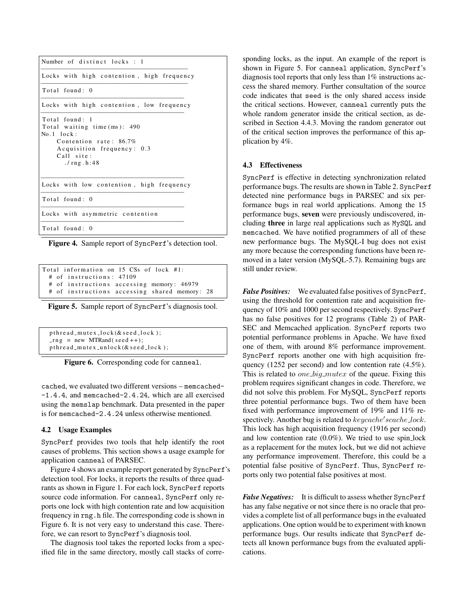```
Number of distinct locks : 1

Locks with high contention , high frequency
<u> Termin de la construcción de la construcción de la construcción de la construcción de la construcción de la c</u>
Total found : 0

Locks with high contention , low frequency
<u> Termin de la construcción de la construcción de la construcción de la construcción de la construcción de la c</u>
Total found: 1
Total waiting time (ms): 490
No. 1 lock:Contention rate: 86.7%
     Acquisition frequency : 0.3
     Call site :
        ./ rng . h:48

Locks with low contention , high frequency
Total found: 0

Locks with asymmetric contention
Total found: 0
```
Figure 4. Sample report of SyncPerf's detection tool.

```
Total information on 15 CSs of lock #1:
 # of instructions: 47109
 # of instructions accessing memory: 46979
 # of instructions accessing shared memory: 28
```
Figure 5. Sample report of SyncPerf's diagnosis tool.

| $pthread_mutes\_lock(&seed\_lock$ ;   |  |  |  |
|---------------------------------------|--|--|--|
| $\text{rng}$ = new MTRand(seed++);    |  |  |  |
| $pthread_mutes\_unlock(&seed\_lock$ ; |  |  |  |

Figure 6. Corresponding code for canneal.

cached, we evaluated two different versions – memcached- -1.4.4, and memcached-2.4.24, which are all exercised using the memslap benchmark. Data presented in the paper is for memcached-2.4.24 unless otherwise mentioned.

## 4.2 Usage Examples

SyncPerf provides two tools that help identify the root causes of problems. This section shows a usage example for application canneal of PARSEC.

Figure 4 shows an example report generated by SyncPerf's detection tool. For locks, it reports the results of three quadrants as shown in Figure 1. For each lock, SyncPerf reports source code information. For canneal, SyncPerf only reports one lock with high contention rate and low acquisition frequency in rng.h file. The corresponding code is shown in Figure 6. It is not very easy to understand this case. Therefore, we can resort to SyncPerf's diagnosis tool.

The diagnosis tool takes the reported locks from a specified file in the same directory, mostly call stacks of corre-

sponding locks, as the input. An example of the report is shown in Figure 5. For canneal application, SyncPerf's diagnosis tool reports that only less than 1% instructions access the shared memory. Further consultation of the source code indicates that seed is the only shared access inside the critical sections. However, canneal currently puts the whole random generator inside the critical section, as described in Section 4.4.3. Moving the random generator out of the critical section improves the performance of this application by 4%.

#### 4.3 Effectiveness

SyncPerf is effective in detecting synchronization related performance bugs. The results are shown in Table 2. SyncPerf detected nine performance bugs in PARSEC and six performance bugs in real world applications. Among the 15 performance bugs, seven were previously undiscovered, including three in large real applications such as MySQL and memcached. We have notified programmers of all of these new performance bugs. The MySQL-I bug does not exist any more because the corresponding functions have been removed in a later version (MySQL-5.7). Remaining bugs are still under review.

*False Positives:* We evaluated false positives of SyncPerf, using the threshold for contention rate and acquisition frequency of 10% and 1000 per second respectively. SyncPerf has no false positives for 12 programs (Table 2) of PAR-SEC and Memcached application. SyncPerf reports two potential performance problems in Apache. We have fixed one of them, with around 8% performance improvement. SyncPerf reports another one with high acquisition frequency (1252 per second) and low contention rate (4.5%). This is related to *one big mutex* of the queue. Fixing this problem requires significant changes in code. Therefore, we did not solve this problem. For MySQL, SyncPerf reports three potential performance bugs. Two of them have been fixed with performance improvement of 19% and 11% respectively. Another bug is related to  $keycache'scache\_lock$ . This lock has high acquisition frequency (1916 per second) and low contention rate  $(0.0\%)$ . We tried to use spin lock as a replacement for the mutex lock, but we did not achieve any performance improvement. Therefore, this could be a potential false positive of SyncPerf. Thus, SyncPerf reports only two potential false positives at most.

*False Negatives:* It is difficult to assess whether SyncPerf has any false negative or not since there is no oracle that provides a complete list of all performance bugs in the evaluated applications. One option would be to experiment with known performance bugs. Our results indicate that SyncPerf detects all known performance bugs from the evaluated applications.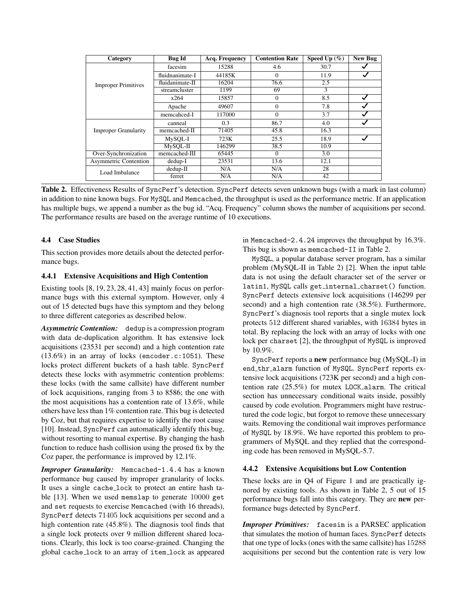| Category                     | <b>Bug Id</b>   | Acq. Frequency | <b>Contention Rate</b> | Speed Up $(\%)$ | <b>New Bug</b> |
|------------------------------|-----------------|----------------|------------------------|-----------------|----------------|
|                              | facesim         | 15288          | 4.6                    | 30.7            |                |
| <b>Improper Primitives</b>   | fluidnanimate-I | 44185K         | $\theta$               | 11.9            | ↵              |
|                              | fluidanimate-II | 16204          | 76.6                   | 2.5             |                |
|                              | streamcluster   | 1199           | 69                     | 3               |                |
|                              | x264            | 15857          | $\Omega$               | 8.5             | ✓              |
|                              | Apache          | 49607          | $\theta$               | 7.8             | $\checkmark$   |
|                              | memcahced-I     | 117000         | $\theta$               | 3.7             |                |
| <b>Improper Granularity</b>  | canneal         | 0.3            | 86.7                   | 4.0             | ✓              |
|                              | memcached-II    | 71405          | 45.8                   | 16.3            |                |
|                              | MySOL-I         | 723K           | 25.5                   | 18.9            | ✓              |
|                              | MySOL-II        | 146299         | 38.5                   | 10.9            |                |
| Over-Synchronization         | memcached-III   | 65445          | $\theta$               | 3.0             |                |
| <b>Asymmetric Contention</b> | dedup-I         | 23531          | 13.6                   | 12.1            |                |
| Load Imbalance               | $dedup-II$      | N/A            | N/A                    | 28              |                |
|                              | ferret          | N/A            | N/A                    | 42              |                |

Table 2. Effectiveness Results of SyncPerf's detection. SyncPerf detects seven unknown bugs (with a mark in last column) in addition to nine known bugs. For MySQL and Memcached, the throughput is used as the performance metric. If an application has multiple bugs, we append a number as the bug id. "Acq. Frequency" column shows the number of acquisitions per second. The performance results are based on the average runtime of 10 executions.

## 4.4 Case Studies

This section provides more details about the detected performance bugs.

#### 4.4.1 Extensive Acquisitions and High Contention

Existing tools [8, 19, 23, 28, 41, 43] mainly focus on performance bugs with this external symptom. However, only 4 out of 15 detected bugs have this symptom and they belong to three different categories as described below.

*Asymmetric Contention:* dedup is a compression program with data de-duplication algorithm. It has extensive lock acquisitions (23531 per second) and a high contention rate (13.6%) in an array of locks (encoder.c:1051). These locks protect different buckets of a hash table. SyncPerf detects these locks with asymmetric contention problems: these locks (with the same callsite) have different number of lock acquisitions, ranging from 3 to 8586; the one with the most acquisitions has a contention rate of 13.6%, while others have less than 1% contention rate. This bug is detected by Coz, but that requires expertise to identify the root cause [10]. Instead, SyncPerf can automatically identify this bug, without resorting to manual expertise. By changing the hash function to reduce hash collision using the prosed fix by the Coz paper, the performance is improved by 12.1%.

*Improper Granularity:* Memcached-1.4.4 has a known performance bug caused by improper granularity of locks. It uses a single cache lock to protect an entire hash table [13]. When we used memslap to generate 10000 get and set requests to exercise Memcached (with 16 threads), SyncPerf detects 71405 lock acquisitions per second and a high contention rate (45.8%). The diagnosis tool finds that a single lock protects over 9 million different shared locations. Clearly, this lock is too coarse-grained. Changing the global cache lock to an array of item lock as appeared in Memcached-2.4.24 improves the throughput by 16.3%. This bug is shown as memcached-II in Table 2.

MySQL, a popular database server program, has a similar problem (MySQL-II in Table 2) [2]. When the input table data is not using the default character set of the server or latin1, MySQL calls get internal charset() function. SyncPerf detects extensive lock acquisitions (146299 per second) and a high contention rate (38.5%). Furthermore, SyncPerf's diagnosis tool reports that a single mutex lock protects 512 different shared variables, with 16384 bytes in total. By replacing the lock with an array of locks with one lock per charset [2], the throughput of MySQL is improved by 10.9%.

SyncPerf reports a new performance bug (MySQL-I) in end thr alarm function of MySQL. SyncPerf reports extensive lock acquisitions (723K per second) and a high contention rate (25.5%) for mutex LOCK alarm. The critical section has unnecessary conditional waits inside, possibly caused by code evolution. Programmers might have restructured the code logic, but forgot to remove these unnecessary waits. Removing the conditional wait improves performance of MySQL by 18.9%. We have reported this problem to programmers of MySQL and they replied that the corresponding code has been removed in MySQL-5.7.

#### 4.4.2 Extensive Acquisitions but Low Contention

These locks are in Q4 of Figure 1 and are practically ignored by existing tools. As shown in Table 2, 5 out of 15 performance bugs fall into this category. They are new performance bugs detected by SyncPerf.

*Improper Primitives:* facesim is a PARSEC application that simulates the motion of human faces. SyncPerf detects that one type of locks (ones with the same callsite) has 15288 acquisitions per second but the contention rate is very low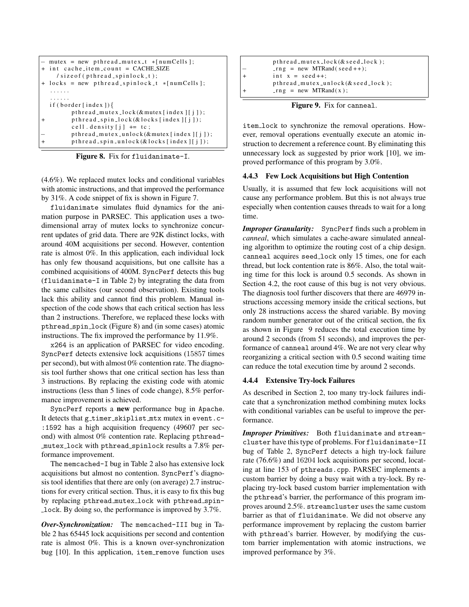```
mutes = new <code>phread_mutes_t * [numCells];</code>int cache_item_count = CACHE_SIZE
     \frac{1}{s} / size of (pthread _spinlock _t);
+ locks = new pthread_spinlock_t *[numCells];
   ......
   ......
  if ( border [index ]) {
         pthread_mutex_lock(&mutex [index ][j]);
+ pthread_spin_lock(&locks[index][j]);
          cell.density[j] += tc;pthread_mutex_unlock(&mutex[index][j]);<br>+    pthread_spin_unlock(&locks[index][i]);
          pthread_spin_unlock(&locks[index][j]);
```
Figure 8. Fix for fluidanimate-I.

(4.6%). We replaced mutex locks and conditional variables with atomic instructions, and that improved the performance by 31%. A code snippet of fix is shown in Figure 7.

fluidanimate simulates fluid dynamics for the animation purpose in PARSEC. This application uses a twodimensional array of mutex locks to synchronize concurrent updates of grid data. There are 92K distinct locks, with around 40M acquisitions per second. However, contention rate is almost 0%. In this application, each individual lock has only few thousand acquisitions, but one callsite has a combined acquisitions of 400M. SyncPerf detects this bug (fluidanimate-I in Table 2) by integrating the data from the same callsites (our second observation). Existing tools lack this ability and cannot find this problem. Manual inspection of the code shows that each critical section has less than 2 instructions. Therefore, we replaced these locks with pthread spin lock (Figure 8) and (in some cases) atomic instructions. The fix improved the performance by 11.9%.

x264 is an application of PARSEC for video encoding. SyncPerf detects extensive lock acquisitions (15857 times per second), but with almost 0% contention rate. The diagnosis tool further shows that one critical section has less than 3 instructions. By replacing the existing code with atomic instructions (less than 5 lines of code change), 8.5% performance improvement is achieved.

SyncPerf reports a new performance bug in Apache. It detects that g\_timer\_skiplist\_mtx mutex in event.c-:1592 has a high acquisition frequency (49607 per second) with almost 0% contention rate. Replacing pthreadmutex lock with pthread spinlock results a 7.8% performance improvement.

The memcached-I bug in Table 2 also has extensive lock acquisitions but almost no contention. SyncPerf's diagnosis tool identifies that there are only (on average) 2.7 instructions for every critical section. Thus, it is easy to fix this bug by replacing pthread mutex lock with pthread spinlock. By doing so, the performance is improved by 3.7%.

*Over-Synchronization:* The memcached-III bug in Table 2 has 65445 lock acquisitions per second and contention rate is almost 0%. This is a known over-synchronization bug [10]. In this application, item\_remove function uses

pthread\_mutex\_lock( $&$  seed\_lock);  $\text{rrng} = \text{new} \text{ MTRand} (\text{seed} + 1);$ <br>+  $\text{int } x = \text{seed} + 1;$ int  $x = seed++;$  $pthread_mutes\_unlock$  ( $\&seed\_lock$ );  $\text{rrng}$  = new MTRand(x);

Figure 9. Fix for canneal.

item lock to synchronize the removal operations. However, removal operations eventually execute an atomic instruction to decrement a reference count. By eliminating this unnecessary lock as suggested by prior work [10], we improved performance of this program by 3.0%.

## 4.4.3 Few Lock Acquisitions but High Contention

Usually, it is assumed that few lock acquisitions will not cause any performance problem. But this is not always true especially when contention causes threads to wait for a long time.

*Improper Granularity:* SyncPerf finds such a problem in *canneal*, which simulates a cache-aware simulated annealing algorithm to optimize the routing cost of a chip design. canneal acquires seed lock only 15 times, one for each thread, but lock contention rate is 86%. Also, the total waiting time for this lock is around 0.5 seconds. As shown in Section 4.2, the root cause of this bug is not very obvious. The diagnosis tool further discovers that there are 46979 instructions accessing memory inside the critical sections, but only 28 instructions access the shared variable. By moving random number generator out of the critical section, the fix as shown in Figure 9 reduces the total execution time by around 2 seconds (from 51 seconds), and improves the performance of canneal around 4%. We are not very clear why reorganizing a critical section with 0.5 second waiting time can reduce the total execution time by around 2 seconds.

#### 4.4.4 Extensive Try-lock Failures

As described in Section 2, too many try-lock failures indicate that a synchronization method combining mutex locks with conditional variables can be useful to improve the performance.

*Improper Primitives:* Both fluidanimate and streamcluster have this type of problems. For fluidanimate-II bug of Table 2, SyncPerf detects a high try-lock failure rate (76.6%) and 16204 lock acquisitions per second, locating at line 153 of pthreads.cpp. PARSEC implements a custom barrier by doing a busy wait with a try-lock. By replacing try-lock based custom barrier implementation with the pthread's barrier, the performance of this program improves around 2.5%. streamcluster uses the same custom barrier as that of fluidanimate. We did not observe any performance improvement by replacing the custom barrier with pthread's barrier. However, by modifying the custom barrier implementation with atomic instructions, we improved performance by 3%.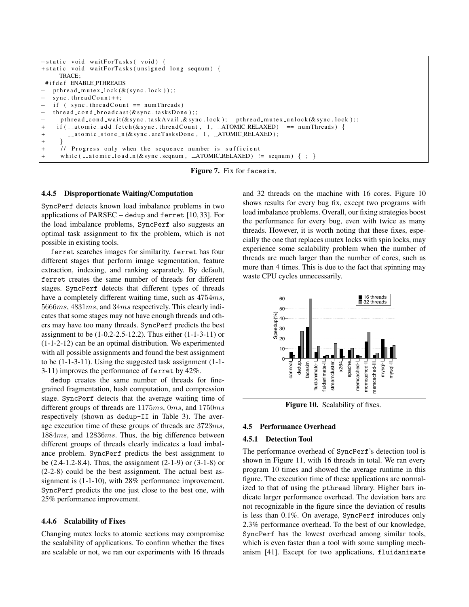```
 static void waitForTasks ( void ) {
+ s t a t i c void waitForTasks ( unsigned long seqnum ) {
      TRACE;
 #ifdef ENABLE_PTHREADS
    pthread_mutex_lock(\&(sync.lock));;
     sync . threadCount ++;
    if ( sync.threadCount == numThreads)
    thread_cond_broadcast(& sync.tasksDone);;
pthread_cond_wait (& sync . t as kA v ail , & sync . lock ); pthread_mutex_unlock (& sync . lock ); ;<br>+ if (__atomic_add_fetch (& sync . thread Count , 1, __ATOMIC_RELAXED) == numThreads) {
+ if (__atomic_add_fetch(& sync . threadCount , 1, __ATOMIC_RELAXED) == numThreads) {<br>- __atomic_store_n(& sync . are Tasks Done , 1, __ATOMIC_RELAXED);
          - atomic _store _n (& sync . areTasksDone , 1, __ATOMIC_RELAXED);
+ }
       // Progress only when the sequence number is sufficient
+ while (__atomic_load_n (& sync . seqnum, __ATOMIC_RELAXED) != seqnum) { ; }
```
Figure 7. Fix for facesim.

#### 4.4.5 Disproportionate Waiting/Computation

SyncPerf detects known load imbalance problems in two applications of PARSEC – dedup and ferret [10, 33]. For the load imbalance problems, SyncPerf also suggests an optimal task assignment to fix the problem, which is not possible in existing tools.

ferret searches images for similarity. ferret has four different stages that perform image segmentation, feature extraction, indexing, and ranking separately. By default, ferret creates the same number of threads for different stages. SyncPerf detects that different types of threads have a completely different waiting time, such as 4754*ms*, 5666*ms*, 4831*ms*, and 34*ms* respectively. This clearly indicates that some stages may not have enough threads and others may have too many threads. SyncPerf predicts the best assignment to be (1-0.2-2.5-12.2). Thus either (1-1-3-11) or (1-1-2-12) can be an optimal distribution. We experimented with all possible assignments and found the best assignment to be (1-1-3-11). Using the suggested task assignment (1-1- 3-11) improves the performance of ferret by 42%.

dedup creates the same number of threads for finegrained fragmentation, hash computation, and compression stage. SyncPerf detects that the average waiting time of different groups of threads are 1175*ms*, 0*ms*, and 1750*ms* respectively (shown as dedup-II in Table 3). The average execution time of these groups of threads are 3723*ms*, 1884*ms*, and 12836*ms*. Thus, the big difference between different groups of threads clearly indicates a load imbalance problem. SyncPerf predicts the best assignment to be (2.4-1.2-8.4). Thus, the assignment (2-1-9) or (3-1-8) or (2-2-8) could be the best assignment. The actual best assignment is (1-1-10), with 28% performance improvement. SyncPerf predicts the one just close to the best one, with 25% performance improvement.

#### 4.4.6 Scalability of Fixes

Changing mutex locks to atomic sections may compromise the scalability of applications. To confirm whether the fixes are scalable or not, we ran our experiments with 16 threads and 32 threads on the machine with 16 cores. Figure 10 shows results for every bug fix, except two programs with load imbalance problems. Overall, our fixing strategies boost the performance for every bug, even with twice as many threads. However, it is worth noting that these fixes, especially the one that replaces mutex locks with spin locks, may experience some scalability problem when the number of threads are much larger than the number of cores, such as more than 4 times. This is due to the fact that spinning may waste CPU cycles unnecessarily.



Figure 10. Scalability of fixes.

## 4.5 Performance Overhead

#### 4.5.1 Detection Tool

The performance overhead of SyncPerf's detection tool is shown in Figure 11, with 16 threads in total. We ran every program 10 times and showed the average runtime in this figure. The execution time of these applications are normalized to that of using the pthread library. Higher bars indicate larger performance overhead. The deviation bars are not recognizable in the figure since the deviation of results is less than 0.1%. On average, SyncPerf introduces only 2.3% performance overhead. To the best of our knowledge, SyncPerf has the lowest overhead among similar tools, which is even faster than a tool with some sampling mechanism [41]. Except for two applications, fluidanimate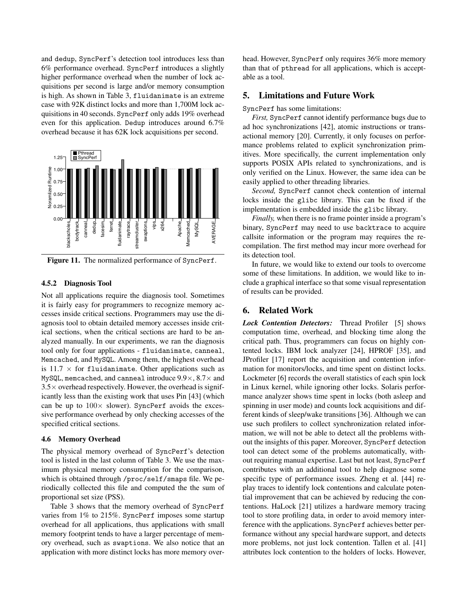and dedup, SyncPerf's detection tool introduces less than 6% performance overhead. SyncPerf introduces a slightly higher performance overhead when the number of lock acquisitions per second is large and/or memory consumption is high. As shown in Table 3, fluidanimate is an extreme case with 92K distinct locks and more than 1,700M lock acquisitions in 40 seconds. SyncPerf only adds 19% overhead even for this application. Dedup introduces around 6.7% overhead because it has 62K lock acquisitions per second.



Figure 11. The normalized performance of SyncPerf.

## 4.5.2 Diagnosis Tool

Not all applications require the diagnosis tool. Sometimes it is fairly easy for programmers to recognize memory accesses inside critical sections. Programmers may use the diagnosis tool to obtain detailed memory accesses inside critical sections, when the critical sections are hard to be analyzed manually. In our experiments, we ran the diagnosis tool only for four applications - fluidanimate, canneal, Memcached, and MySQL. Among them, the highest overhead is 11.7  $\times$  for fluidanimate. Other applications such as MySQL, memcached, and canneal introduce  $9.9 \times$ ,  $8.7 \times$  and  $3.5\times$  overhead respectively. However, the overhead is significantly less than the existing work that uses Pin [43] (which can be up to  $100 \times$  slower). SyncPerf avoids the excessive performance overhead by only checking accesses of the specified critical sections.

#### 4.6 Memory Overhead

The physical memory overhead of SyncPerf's detection tool is listed in the last column of Table 3. We use the maximum physical memory consumption for the comparison, which is obtained through /proc/self/smaps file. We periodically collected this file and computed the the sum of proportional set size (PSS).

Table 3 shows that the memory overhead of SyncPerf varies from 1% to 215%. SyncPerf imposes some startup overhead for all applications, thus applications with small memory footprint tends to have a larger percentage of memory overhead, such as swaptions. We also notice that an application with more distinct locks has more memory overhead. However, SyncPerf only requires 36% more memory than that of pthread for all applications, which is acceptable as a tool.

## 5. Limitations and Future Work

SyncPerf has some limitations:

*First,* SyncPerf cannot identify performance bugs due to ad hoc synchronizations [42], atomic instructions or transactional memory [20]. Currently, it only focuses on performance problems related to explicit synchronization primitives. More specifically, the current implementation only supports POSIX APIs related to synchronizations, and is only verified on the Linux. However, the same idea can be easily applied to other threading libraries.

*Second,* SyncPerf cannot check contention of internal locks inside the glibc library. This can be fixed if the implementation is embedded inside the glibc library.

*Finally,* when there is no frame pointer inside a program's binary, SyncPerf may need to use backtrace to acquire callsite information or the program may requires the recompilation. The first method may incur more overhead for its detection tool.

In future, we would like to extend our tools to overcome some of these limitations. In addition, we would like to include a graphical interface so that some visual representation of results can be provided.

# 6. Related Work

*Lock Contention Detectors:* Thread Profiler [5] shows computation time, overhead, and blocking time along the critical path. Thus, programmers can focus on highly contented locks. IBM lock analyzer [24], HPROF [35], and JProfiler [17] report the acquisition and contention information for monitors/locks, and time spent on distinct locks. Lockmeter [6] records the overall statistics of each spin lock in Linux kernel, while ignoring other locks. Solaris performance analyzer shows time spent in locks (both asleep and spinning in user mode) and counts lock acquisitions and different kinds of sleep/wake transitions [36]. Although we can use such profilers to collect synchronization related information, we will not be able to detect all the problems without the insights of this paper. Moreover, SyncPerf detection tool can detect some of the problems automatically, without requiring manual expertise. Last but not least, SyncPerf contributes with an additional tool to help diagnose some specific type of performance issues. Zheng et al. [44] replay traces to identify lock contentions and calculate potential improvement that can be achieved by reducing the contentions. HaLock [21] utilizes a hardware memory tracing tool to store profiling data, in order to avoid memory interference with the applications. SyncPerf achieves better performance without any special hardware support, and detects more problems, not just lock contention. Tallen et al. [41] attributes lock contention to the holders of locks. However,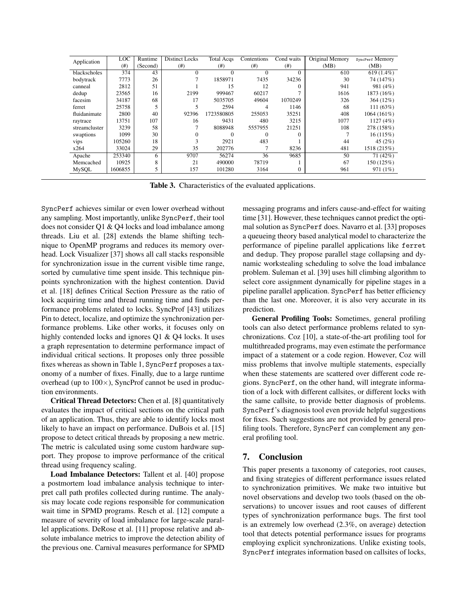| Application   | LOC     | Runtime  | <b>Distinct Locks</b> | <b>Total Acqs</b> | Contentions | Cond waits | Original Memory | SyncPerf Memory |
|---------------|---------|----------|-----------------------|-------------------|-------------|------------|-----------------|-----------------|
|               | (# )    | (Second) | (# )                  | (# )              | (# )        | (# )       | (MB)            | (MB)            |
| blackscholes  | 374     | 43       |                       |                   | $\Omega$    | $\Omega$   | 610             | $619(1.4\%)$    |
| bodytrack     | 7773    | 26       |                       | 1858971           | 7435        | 34236      | 30              | 74 (147%)       |
| canneal       | 2812    | 51       |                       | 15                | 12          | o          | 941             | 981 (4%)        |
| dedup         | 23565   | 16       | 2199                  | 999467            | 60217       |            | 1616            | 1873 (16%)      |
| facesim       | 34187   | 68       | 17                    | 5035705           | 49604       | 1070249    | 326             | 364 (12%)       |
| ferret        | 25758   |          |                       | 2594              | 4           | 1146       | 68              | 111(63%)        |
| fluidanimate  | 2800    | 40       | 92396                 | 1723580805        | 255053      | 35251      | 408             | 1064 (161%)     |
| raytrace      | 13751   | 107      | 16                    | 9431              | 480         | 3215       | 1077            | 1127(4%)        |
| streamcluster | 3239    | 58       |                       | 8088948           | 5557955     | 21251      | 108             | 278 (158%)      |
| swaptions     | 1099    | 30       |                       |                   | $\Omega$    |            |                 | 16(115%)        |
| vips          | 105260  | 18       |                       | 2921              | 483         |            | 44              | 45 $(2%)$       |
| x264          | 33024   | 29       | 35                    | 202776            |             | 8236       | 481             | 1518 (215%)     |
| Apache        | 253340  | 6        | 9707                  | 56274             | 36          | 9685       | 50              | 71(42%)         |
| Memcached     | 10925   | 8        | 21                    | 490000            | 78719       |            | 67              | 150 (125%)      |
| MySQL         | 1606855 |          | 157                   | 101280            | 3164        | 0          | 961             | 971 (1%)        |

Table 3. Characteristics of the evaluated applications.

SyncPerf achieves similar or even lower overhead without any sampling. Most importantly, unlike SyncPerf, their tool does not consider Q1 & Q4 locks and load imbalance among threads. Liu et al. [28] extends the blame shifting technique to OpenMP programs and reduces its memory overhead. Lock Visualizer [37] shows all call stacks responsible for synchronization issue in the current visible time range, sorted by cumulative time spent inside. This technique pinpoints synchronization with the highest contention. David et al. [18] defines Critical Section Pressure as the ratio of lock acquiring time and thread running time and finds performance problems related to locks. SyncProf [43] utilizes Pin to detect, localize, and optimize the synchronization performance problems. Like other works, it focuses only on highly contended locks and ignores Q1 & Q4 locks. It uses a graph representation to determine performance impact of individual critical sections. It proposes only three possible fixes whereas as shown in Table 1, SyncPerf proposes a taxonomy of a number of fixes. Finally, due to a large runtime overhead (up to  $100\times$ ), SyncProf cannot be used in production environments.

Critical Thread Detectors: Chen et al. [8] quantitatively evaluates the impact of critical sections on the critical path of an application. Thus, they are able to identify locks most likely to have an impact on performance. DuBois et al. [15] propose to detect critical threads by proposing a new metric. The metric is calculated using some custom hardware support. They propose to improve performance of the critical thread using frequency scaling.

Load Imbalance Detectors: Tallent et al. [40] propose a postmortem load imbalance analysis technique to interpret call path profiles collected during runtime. The analysis may locate code regions responsible for communication wait time in SPMD programs. Resch et al. [12] compute a measure of severity of load imbalance for large-scale parallel applications. DeRose et al. [11] propose relative and absolute imbalance metrics to improve the detection ability of the previous one. Carnival measures performance for SPMD

messaging programs and infers cause-and-effect for waiting time [31]. However, these techniques cannot predict the optimal solution as SyncPerf does. Navarro et al. [33] proposes a queueing theory based analytical model to characterize the performance of pipeline parallel applications like ferret and dedup. They propose parallel stage collapsing and dynamic workstealing scheduling to solve the load imbalance problem. Suleman et al. [39] uses hill climbing algorithm to select core assignment dynamically for pipeline stages in a pipeline parallel application. SyncPerf has better efficiency than the last one. Moreover, it is also very accurate in its prediction.

General Profiling Tools: Sometimes, general profiling tools can also detect performance problems related to synchronizations. Coz [10], a state-of-the-art profiling tool for multithreaded programs, may even estimate the performance impact of a statement or a code region. However, Coz will miss problems that involve multiple statements, especially when these statements are scattered over different code regions. SyncPerf, on the other hand, will integrate information of a lock with different callsites, or different locks with the same callsite, to provide better diagnosis of problems. SyncPerf's diagnosis tool even provide helpful suggestions for fixes. Such suggestions are not provided by general profiling tools. Therefore, SyncPerf can complement any general profiling tool.

# 7. Conclusion

This paper presents a taxonomy of categories, root causes, and fixing strategies of different performance issues related to synchronization primitives. We make two intuitive but novel observations and develop two tools (based on the observations) to uncover issues and root causes of different types of synchronization performance bugs. The first tool is an extremely low overhead (2.3%, on average) detection tool that detects potential performance issues for programs employing explicit synchronizations. Unlike existing tools, SyncPerf integrates information based on callsites of locks,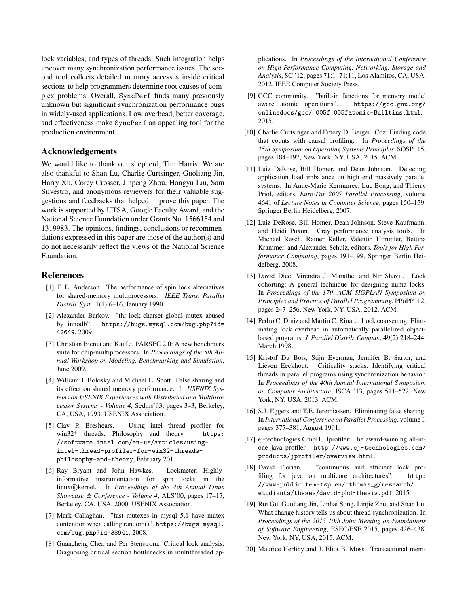lock variables, and types of threads. Such integration helps uncover many synchronization performance issues. The second tool collects detailed memory accesses inside critical sections to help programmers determine root causes of complex problems. Overall, SyncPerf finds many previously unknown but significant synchronization performance bugs in widely-used applications. Low overhead, better coverage, and effectiveness make SyncPerf an appealing tool for the production environment.

# Acknowledgements

We would like to thank our shepherd, Tim Harris. We are also thankful to Shan Lu, Charlie Curtsinger, Guoliang Jin, Harry Xu, Corey Crosser, Jinpeng Zhou, Hongyu Liu, Sam Silvestro, and anonymous reviewers for their valuable suggestions and feedbacks that helped improve this paper. The work is supported by UTSA, Google Faculty Award, and the National Science Foundation under Grants No. 1566154 and 1319983. The opinions, findings, conclusions or recommendations expressed in this paper are those of the author(s) and do not necessarily reflect the views of the National Science Foundation.

# References

- [1] T. E. Anderson. The performance of spin lock alternatives for shared-memory multiprocessors. *IEEE Trans. Parallel Distrib. Syst.*, 1(1):6–16, January 1990.
- [2] Alexander Barkov. "thr lock charset global mutex abused by innodb". https://bugs.mysql.com/bug.php?id= 42649, 2009.
- [3] Christian Bienia and Kai Li. PARSEC 2.0: A new benchmark suite for chip-multiprocessors. In *Proceedings of the 5th Annual Workshop on Modeling, Benchmarking and Simulation*, June 2009.
- [4] William J. Bolosky and Michael L. Scott. False sharing and its effect on shared memory performance. In *USENIX Systems on USENIX Experiences with Distributed and Multiprocessor Systems - Volume 4*, Sedms'93, pages 3–3, Berkeley, CA, USA, 1993. USENIX Association.
- [5] Clay P. Breshears. Using intel thread profiler for win32\* threads: Philosophy and theory. https: //software.intel.com/en-us/articles/usingintel-thread-profiler-for-win32-threadsphilosophy-and-theory, February 2011.
- [6] Ray Bryant and John Hawkes. Lockmeter: Highlyinformative instrumentation for spin locks in the linux (R) kernel. In *Proceedings of the 4th Annual Linux Showcase & Conference - Volume 4*, ALS'00, pages 17–17, Berkeley, CA, USA, 2000. USENIX Association.
- [7] Mark Callaghan. "fast mutexes in mysql 5.1 have mutex contention when calling random()". https://bugs.mysql. com/bug.php?id=38941, 2008.
- [8] Guancheng Chen and Per Stenstrom. Critical lock analysis: Diagnosing critical section bottlenecks in multithreaded ap-

plications. In *Proceedings of the International Conference on High Performance Computing, Networking, Storage and Analysis*, SC '12, pages 71:1–71:11, Los Alamitos, CA, USA, 2012. IEEE Computer Society Press.

- [9] GCC community. "built-in functions for memory model aware atomic operations". https://gcc.gnu.org/ onlinedocs/gcc/\_005f\_005fatomic-Builtins.html, 2015.
- [10] Charlie Curtsinger and Emery D. Berger. Coz: Finding code that counts with causal profiling. In *Proceedings of the 25th Symposium on Operating Systems Principles*, SOSP '15, pages 184–197, New York, NY, USA, 2015. ACM.
- [11] Luiz DeRose, Bill Homer, and Dean Johnson. Detecting application load imbalance on high end massively parallel systems. In Anne-Marie Kermarrec, Luc Boug, and Thierry Priol, editors, *Euro-Par 2007 Parallel Processing*, volume 4641 of *Lecture Notes in Computer Science*, pages 150–159. Springer Berlin Heidelberg, 2007.
- [12] Luiz DeRose, Bill Homer, Dean Johnson, Steve Kaufmann, and Heidi Poxon. Cray performance analysis tools. In Michael Resch, Rainer Keller, Valentin Himmler, Bettina Krammer, and Alexander Schulz, editors, *Tools for High Performance Computing*, pages 191–199. Springer Berlin Heidelberg, 2008.
- [13] David Dice, Virendra J. Marathe, and Nir Shavit. Lock cohorting: A general technique for designing numa locks. In *Proceedings of the 17th ACM SIGPLAN Symposium on Principles and Practice of Parallel Programming*, PPoPP '12, pages 247–256, New York, NY, USA, 2012. ACM.
- [14] Pedro C. Diniz and Martin C. Rinard. Lock coarsening: Eliminating lock overhead in automatically parallelized objectbased programs. *J. Parallel Distrib. Comput.*, 49(2):218–244, March 1998.
- [15] Kristof Du Bois, Stijn Eyerman, Jennifer B. Sartor, and Lieven Eeckhout. Criticality stacks: Identifying critical threads in parallel programs using synchronization behavior. In *Proceedings of the 40th Annual International Symposium on Computer Architecture*, ISCA '13, pages 511–522, New York, NY, USA, 2013. ACM.
- [16] S.J. Eggers and T.E. Jeremiassen. Eliminating false sharing. In *International Conference on Parallel Processing*, volume I, pages 377–381, August 1991.
- [17] ej-technologies GmbH. Jprofiler: The award-winning all-inone java profiler. http://www.ej-technologies.com/ products/jprofiler/overview.html.
- [18] David Florian. "continuous and efficient lock profiling for java on multicore architectures". http: //www-public.tem-tsp.eu/~thomas\_g/research/ etudiants/theses/david-phd-thesis.pdf, 2015.
- [19] Rui Gu, Guoliang Jin, Linhai Song, Linjie Zhu, and Shan Lu. What change history tells us about thread synchronization. In *Proceedings of the 2015 10th Joint Meeting on Foundations of Software Engineering*, ESEC/FSE 2015, pages 426–438, New York, NY, USA, 2015. ACM.
- [20] Maurice Herlihy and J. Eliot B. Moss. Transactional mem-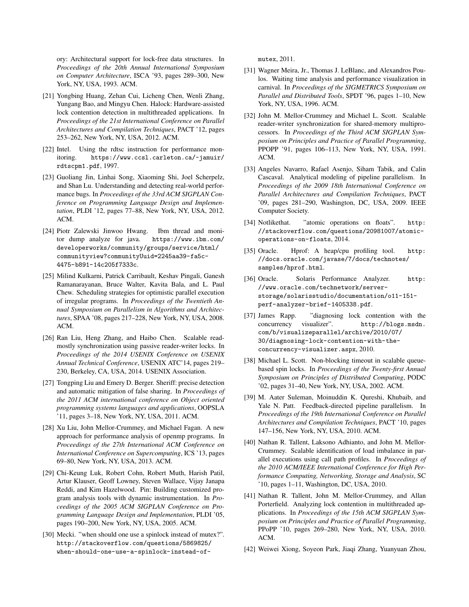ory: Architectural support for lock-free data structures. In *Proceedings of the 20th Annual International Symposium on Computer Architecture*, ISCA '93, pages 289–300, New York, NY, USA, 1993. ACM.

- [21] Yongbing Huang, Zehan Cui, Licheng Chen, Wenli Zhang, Yungang Bao, and Mingyu Chen. Halock: Hardware-assisted lock contention detection in multithreaded applications. In *Proceedings of the 21st International Conference on Parallel Architectures and Compilation Techniques*, PACT '12, pages 253–262, New York, NY, USA, 2012. ACM.
- [22] Intel. Using the rdtsc instruction for performance monitoring. https://www.ccsl.carleton.ca/~jamuir/ rdtscpm1.pdf, 1997.
- [23] Guoliang Jin, Linhai Song, Xiaoming Shi, Joel Scherpelz, and Shan Lu. Understanding and detecting real-world performance bugs. In *Proceedings of the 33rd ACM SIGPLAN Conference on Programming Language Design and Implementation*, PLDI '12, pages 77–88, New York, NY, USA, 2012. ACM.
- [24] Piotr Zalewski Jinwoo Hwang. Ibm thread and monitor dump analyze for java. https://www.ibm.com/ developerworks/community/groups/service/html/ communityview?communityUuid=2245aa39-fa5c-4475-b891-14c205f7333c.
- [25] Milind Kulkarni, Patrick Carribault, Keshav Pingali, Ganesh Ramanarayanan, Bruce Walter, Kavita Bala, and L. Paul Chew. Scheduling strategies for optimistic parallel execution of irregular programs. In *Proceedings of the Twentieth Annual Symposium on Parallelism in Algorithms and Architectures*, SPAA '08, pages 217–228, New York, NY, USA, 2008. ACM.
- [26] Ran Liu, Heng Zhang, and Haibo Chen. Scalable readmostly synchronization using passive reader-writer locks. In *Proceedings of the 2014 USENIX Conference on USENIX Annual Technical Conference*, USENIX ATC'14, pages 219– 230, Berkeley, CA, USA, 2014. USENIX Association.
- [27] Tongping Liu and Emery D. Berger. Sheriff: precise detection and automatic mitigation of false sharing. In *Proceedings of the 2011 ACM international conference on Object oriented programming systems languages and applications*, OOPSLA '11, pages 3–18, New York, NY, USA, 2011. ACM.
- [28] Xu Liu, John Mellor-Crummey, and Michael Fagan. A new approach for performance analysis of openmp programs. In *Proceedings of the 27th International ACM Conference on International Conference on Supercomputing*, ICS '13, pages 69–80, New York, NY, USA, 2013. ACM.
- [29] Chi-Keung Luk, Robert Cohn, Robert Muth, Harish Patil, Artur Klauser, Geoff Lowney, Steven Wallace, Vijay Janapa Reddi, and Kim Hazelwood. Pin: Building customized program analysis tools with dynamic instrumentation. In *Proceedings of the 2005 ACM SIGPLAN Conference on Programming Language Design and Implementation*, PLDI '05, pages 190–200, New York, NY, USA, 2005. ACM.
- [30] Mecki. "when should one use a spinlock instead of mutex?". http://stackoverflow.com/questions/5869825/ when-should-one-use-a-spinlock-instead-of-

mutex, 2011.

- [31] Wagner Meira, Jr., Thomas J. LeBlanc, and Alexandros Poulos. Waiting time analysis and performance visualization in carnival. In *Proceedings of the SIGMETRICS Symposium on Parallel and Distributed Tools*, SPDT '96, pages 1–10, New York, NY, USA, 1996. ACM.
- [32] John M. Mellor-Crummey and Michael L. Scott. Scalable reader-writer synchronization for shared-memory multiprocessors. In *Proceedings of the Third ACM SIGPLAN Symposium on Principles and Practice of Parallel Programming*, PPOPP '91, pages 106–113, New York, NY, USA, 1991. ACM.
- [33] Angeles Navarro, Rafael Asenjo, Siham Tabik, and Calin Cascaval. Analytical modeling of pipeline parallelism. In *Proceedings of the 2009 18th International Conference on Parallel Architectures and Compilation Techniques*, PACT '09, pages 281–290, Washington, DC, USA, 2009. IEEE Computer Society.
- [34] Notlikethat. "atomic operations on floats". http: //stackoverflow.com/questions/20981007/atomicoperations-on-floats, 2014.
- [35] Oracle. Hprof: A heap/cpu profiling tool. http: //docs.oracle.com/javase/7/docs/technotes/ samples/hprof.html.
- [36] Oracle. Solaris Performance Analyzer. http: //www.oracle.com/technetwork/serverstorage/solarisstudio/documentation/o11-151 perf-analyzer-brief-1405338.pdf.
- [37] James Rapp. "diagnosing lock contention with the concurrency visualizer". http://blogs.msdn. com/b/visualizeparallel/archive/2010/07/ 30/diagnosing-lock-contention-with-theconcurrency-visualizer.aspx, 2010.
- [38] Michael L. Scott. Non-blocking timeout in scalable queuebased spin locks. In *Proceedings of the Twenty-first Annual Symposium on Principles of Distributed Computing*, PODC '02, pages 31–40, New York, NY, USA, 2002. ACM.
- [39] M. Aater Suleman, Moinuddin K. Qureshi, Khubaib, and Yale N. Patt. Feedback-directed pipeline parallelism. In *Proceedings of the 19th International Conference on Parallel Architectures and Compilation Techniques*, PACT '10, pages 147–156, New York, NY, USA, 2010. ACM.
- [40] Nathan R. Tallent, Laksono Adhianto, and John M. Mellor-Crummey. Scalable identification of load imbalance in parallel executions using call path profiles. In *Proceedings of the 2010 ACM/IEEE International Conference for High Performance Computing, Networking, Storage and Analysis*, SC '10, pages 1–11, Washington, DC, USA, 2010.
- [41] Nathan R. Tallent, John M. Mellor-Crummey, and Allan Porterfield. Analyzing lock contention in multithreaded applications. In *Proceedings of the 15th ACM SIGPLAN Symposium on Principles and Practice of Parallel Programming*, PPoPP '10, pages 269–280, New York, NY, USA, 2010. ACM.
- [42] Weiwei Xiong, Soyeon Park, Jiaqi Zhang, Yuanyuan Zhou,